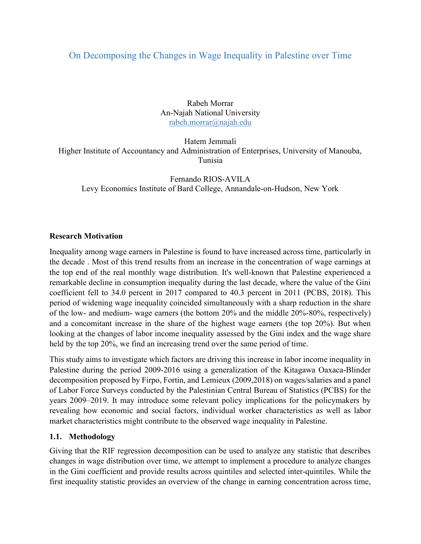## On Decomposing the Changes in Wage Inequality in Palestine over Time

Rabeh Morrar An-Najah National University rabeh.morrar@najah.edu

Hatem Jemmali Higher Institute of Accountancy and Administration of Enterprises, University of Manouba, Tunisia

Fernando RIOS-AVILA Levy Economics Institute of Bard College, Annandale-on-Hudson, New York

## Research Motivation

Inequality among wage earners in Palestine is found to have increased across time, particularly in the decade . Most of this trend results from an increase in the concentration of wage earnings at the top end of the real monthly wage distribution. It's well-known that Palestine experienced a remarkable decline in consumption inequality during the last decade, where the value of the Gini coefficient fell to 34.0 percent in 2017 compared to 40.3 percent in 2011 (PCBS, 2018). This period of widening wage inequality coincided simultaneously with a sharp reduction in the share of the low- and medium- wage earners (the bottom 20% and the middle 20%-80%, respectively) and a concomitant increase in the share of the highest wage earners (the top 20%). But when looking at the changes of labor income inequality assessed by the Gini index and the wage share held by the top 20%, we find an increasing trend over the same period of time.

This study aims to investigate which factors are driving this increase in labor income inequality in Palestine during the period 2009-2016 using a generalization of the Kitagawa Oaxaca-Blinder decomposition proposed by Firpo, Fortin, and Lemieux (2009,2018) on wages/salaries and a panel of Labor Force Surveys conducted by the Palestinian Central Bureau of Statistics (PCBS) for the years 2009–2019. It may introduce some relevant policy implications for the policymakers by revealing how economic and social factors, individual worker characteristics as well as labor market characteristics might contribute to the observed wage inequality in Palestine.

## 1.1. Methodology

Giving that the RIF regression decomposition can be used to analyze any statistic that describes changes in wage distribution over time, we attempt to implement a procedure to analyze changes in the Gini coefficient and provide results across quintiles and selected inter-quintiles. While the first inequality statistic provides an overview of the change in earning concentration across time,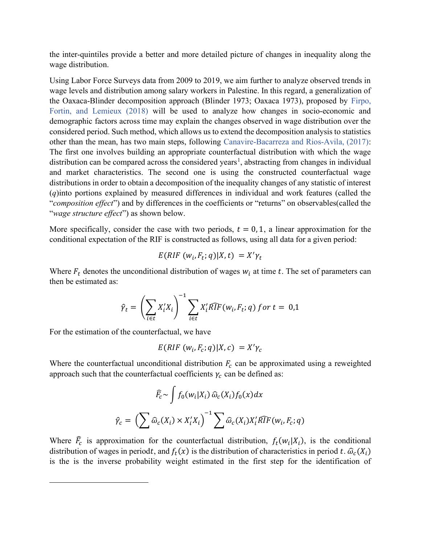the inter-quintiles provide a better and more detailed picture of changes in inequality along the wage distribution.

Using Labor Force Surveys data from 2009 to 2019, we aim further to analyze observed trends in wage levels and distribution among salary workers in Palestine. In this regard, a generalization of the Oaxaca-Blinder decomposition approach (Blinder 1973; Oaxaca 1973), proposed by Firpo, Fortin, and Lemieux (2018) will be used to analyze how changes in socio-economic and demographic factors across time may explain the changes observed in wage distribution over the considered period. Such method, which allows us to extend the decomposition analysis to statistics other than the mean, has two main steps, following Canavire-Bacarreza and Rios-Avila, (2017): The first one involves building an appropriate counterfactual distribution with which the wage distribution can be compared across the considered years<sup>1</sup>, abstracting from changes in individual and market characteristics. The second one is using the constructed counterfactual wage distributions in order to obtain a decomposition of the inequality changes of any statistic of interest (q)into portions explained by measured differences in individual and work features (called the "composition effect") and by differences in the coefficients or "returns" on observables(called the "wage structure effect") as shown below.

More specifically, consider the case with two periods,  $t = 0, 1$ , a linear approximation for the conditional expectation of the RIF is constructed as follows, using all data for a given period:

$$
E(RIF(w_i, F_t; q)|X, t) = X'\gamma_t
$$

Where  $F_t$  denotes the unconditional distribution of wages  $w_i$  at time t. The set of parameters can then be estimated as:

$$
\hat{\gamma}_t = \left(\sum_{i \in t} X_i' X_i\right)^{-1} \sum_{i \in t} X_i' \widehat{RIF}(w_i, F_t; q) \text{ for } t = 0, 1
$$

For the estimation of the counterfactual, we have

$$
E(RIF(w_i, F_c; q)|X, c) = X'\gamma_c
$$

Where the counterfactual unconditional distribution  $F_c$  can be approximated using a reweighted approach such that the counterfactual coefficients  $\gamma_c$  can be defined as:

$$
\widehat{F}_c \sim \int f_0(w_i|X_i) \widehat{\omega}_c(X_i) f_0(x) dx
$$

$$
\widehat{\gamma}_c = \left(\sum \widehat{\omega}_c(X_i) \times X'_i X_i\right)^{-1} \sum \widehat{\omega}_c(X_i) X'_i \widehat{RIF}(w_i, F_c; q)
$$

Where  $\widehat{F}_c$  is approximation for the counterfactual distribution,  $f_t(w_i|X_i)$ , is the conditional distribution of wages in periodt, and  $f_t(x)$  is the distribution of characteristics in period t.  $\widehat{\omega}_c(X_i)$ is the is the inverse probability weight estimated in the first step for the identification of